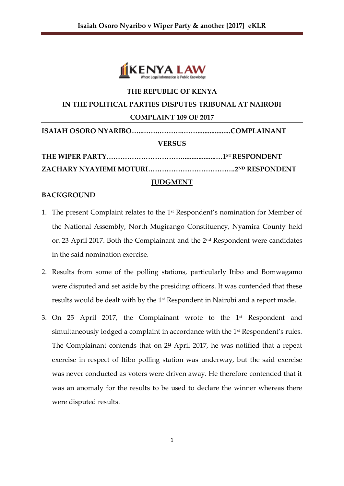

# **THE REPUBLIC OF KENYA IN THE POLITICAL PARTIES DISPUTES TRIBUNAL AT NAIROBI COMPLAINT 109 OF 2017 ISAIAH OSORO NYARIBO…...…….………..……...................COMPLAINANT VERSUS THE WIPER PARTY……………………………...................…1ST RESPONDENT**

**ZACHARY NYAYIEMI MOTURI………………………………..2ND RESPONDENT**

# **JUDGMENT**

# **BACKGROUND**

- 1. The present Complaint relates to the 1st Respondent's nomination for Member of the National Assembly, North Mugirango Constituency, Nyamira County held on 23 April 2017. Both the Complainant and the 2<sup>nd</sup> Respondent were candidates in the said nomination exercise.
- 2. Results from some of the polling stations, particularly Itibo and Bomwagamo were disputed and set aside by the presiding officers. It was contended that these results would be dealt with by the 1st Respondent in Nairobi and a report made.
- 3. On 25 April 2017, the Complainant wrote to the 1st Respondent and simultaneously lodged a complaint in accordance with the 1<sup>st</sup> Respondent's rules. The Complainant contends that on 29 April 2017, he was notified that a repeat exercise in respect of Itibo polling station was underway, but the said exercise was never conducted as voters were driven away. He therefore contended that it was an anomaly for the results to be used to declare the winner whereas there were disputed results.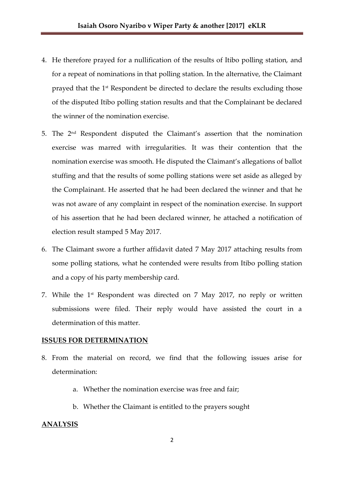- 4. He therefore prayed for a nullification of the results of Itibo polling station, and for a repeat of nominations in that polling station. In the alternative, the Claimant prayed that the 1<sup>st</sup> Respondent be directed to declare the results excluding those of the disputed Itibo polling station results and that the Complainant be declared the winner of the nomination exercise.
- 5. The 2nd Respondent disputed the Claimant's assertion that the nomination exercise was marred with irregularities. It was their contention that the nomination exercise was smooth. He disputed the Claimant's allegations of ballot stuffing and that the results of some polling stations were set aside as alleged by the Complainant. He asserted that he had been declared the winner and that he was not aware of any complaint in respect of the nomination exercise. In support of his assertion that he had been declared winner, he attached a notification of election result stamped 5 May 2017.
- 6. The Claimant swore a further affidavit dated 7 May 2017 attaching results from some polling stations, what he contended were results from Itibo polling station and a copy of his party membership card.
- 7. While the  $1<sup>st</sup>$  Respondent was directed on 7 May 2017, no reply or written submissions were filed. Their reply would have assisted the court in a determination of this matter.

## **ISSUES FOR DETERMINATION**

- 8. From the material on record, we find that the following issues arise for determination:
	- a. Whether the nomination exercise was free and fair;
	- b. Whether the Claimant is entitled to the prayers sought

#### **ANALYSIS**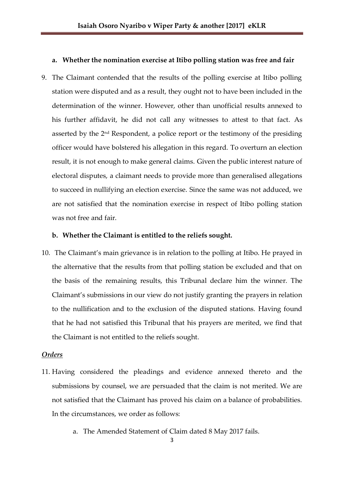## **a. Whether the nomination exercise at Itibo polling station was free and fair**

9. The Claimant contended that the results of the polling exercise at Itibo polling station were disputed and as a result, they ought not to have been included in the determination of the winner. However, other than unofficial results annexed to his further affidavit, he did not call any witnesses to attest to that fact. As asserted by the 2nd Respondent, a police report or the testimony of the presiding officer would have bolstered his allegation in this regard. To overturn an election result, it is not enough to make general claims. Given the public interest nature of electoral disputes, a claimant needs to provide more than generalised allegations to succeed in nullifying an election exercise. Since the same was not adduced, we are not satisfied that the nomination exercise in respect of Itibo polling station was not free and fair.

## **b. Whether the Claimant is entitled to the reliefs sought.**

10. The Claimant's main grievance is in relation to the polling at Itibo. He prayed in the alternative that the results from that polling station be excluded and that on the basis of the remaining results, this Tribunal declare him the winner. The Claimant's submissions in our view do not justify granting the prayers in relation to the nullification and to the exclusion of the disputed stations. Having found that he had not satisfied this Tribunal that his prayers are merited, we find that the Claimant is not entitled to the reliefs sought.

## *Orders*

- 11. Having considered the pleadings and evidence annexed thereto and the submissions by counsel, we are persuaded that the claim is not merited. We are not satisfied that the Claimant has proved his claim on a balance of probabilities. In the circumstances, we order as follows:
	- a. The Amended Statement of Claim dated 8 May 2017 fails.